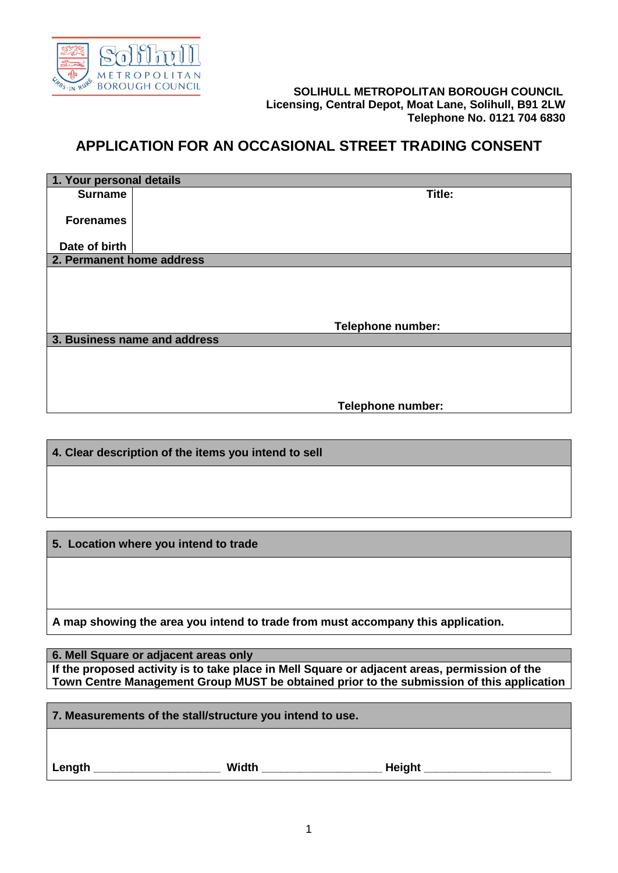

## **SOLIHULL METROPOLITAN BOROUGH COUNCIL Licensing, Central Depot, Moat Lane, Solihull, B91 2LW Telephone No. 0121 704 6830**

## **APPLICATION FOR AN OCCASIONAL STREET TRADING CONSENT**

| 1. Your personal details  |                              |
|---------------------------|------------------------------|
| <b>Surname</b>            | Title:                       |
|                           |                              |
| <b>Forenames</b>          |                              |
|                           |                              |
| Date of birth             |                              |
| 2. Permanent home address |                              |
|                           |                              |
|                           |                              |
|                           |                              |
|                           |                              |
|                           | <b>Telephone number:</b>     |
|                           | 3. Business name and address |
|                           |                              |
|                           |                              |
|                           |                              |
|                           |                              |
|                           | Telephone number:            |

**4. Clear description of the items you intend to sell**

**5. Location where you intend to trade**

**A map showing the area you intend to trade from must accompany this application.** 

**6. Mell Square or adjacent areas only If the proposed activity is to take place in Mell Square or adjacent areas, permission of the Town Centre Management Group MUST be obtained prior to the submission of this application**

**7. Measurements of the stall/structure you intend to use. Length \_\_\_\_\_\_\_\_\_\_\_\_\_\_\_\_\_\_\_\_ Width \_\_\_\_\_\_\_\_\_\_\_\_\_\_\_\_\_\_\_ Height \_\_\_\_\_\_\_\_\_\_\_\_\_\_\_\_\_\_\_\_**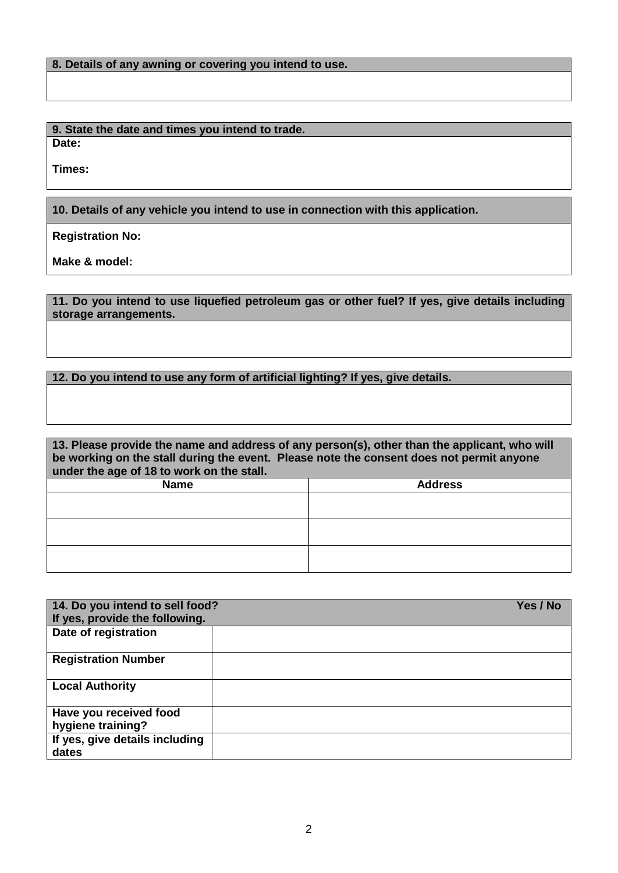|  |  |  |  | 8. Details of any awning or covering you intend to use. |  |
|--|--|--|--|---------------------------------------------------------|--|
|--|--|--|--|---------------------------------------------------------|--|

**9. State the date and times you intend to trade. Date:**

**Times:**

**10. Details of any vehicle you intend to use in connection with this application.**

**Registration No:**

**Make & model:**

**11. Do you intend to use liquefied petroleum gas or other fuel? If yes, give details including storage arrangements.**

## **12. Do you intend to use any form of artificial lighting? If yes, give details.**

| 13. Please provide the name and address of any person(s), other than the applicant, who will<br>be working on the stall during the event. Please note the consent does not permit anyone<br>under the age of 18 to work on the stall. |                |  |
|---------------------------------------------------------------------------------------------------------------------------------------------------------------------------------------------------------------------------------------|----------------|--|
| <b>Name</b>                                                                                                                                                                                                                           | <b>Address</b> |  |
|                                                                                                                                                                                                                                       |                |  |
|                                                                                                                                                                                                                                       |                |  |
|                                                                                                                                                                                                                                       |                |  |
|                                                                                                                                                                                                                                       |                |  |
|                                                                                                                                                                                                                                       |                |  |

| 14. Do you intend to sell food?<br>If yes, provide the following. | Yes / No |
|-------------------------------------------------------------------|----------|
| Date of registration                                              |          |
| <b>Registration Number</b>                                        |          |
| <b>Local Authority</b>                                            |          |
| Have you received food<br>hygiene training?                       |          |
| If yes, give details including<br>dates                           |          |